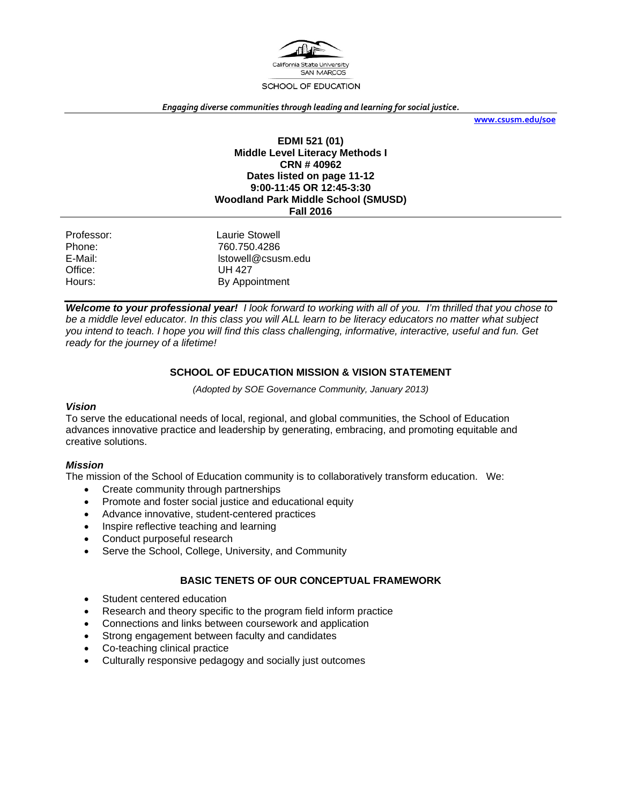

#### *Engaging diverse communities through leading and learning for social justice.*

**www.csusm.edu/soe**

#### **EDMI 521 (01) Middle Level Literacy Methods I CRN # 40962 Dates listed on page 11-12 9:00-11:45 OR 12:45-3:30 Woodland Park Middle School (SMUSD) Fall 2016**

| Professor: | Laurie Stowell     |
|------------|--------------------|
| Phone:     | 760.750.4286       |
| E-Mail:    | Istowell@csusm.edu |
| Office:    | UH 427             |
| Hours:     | By Appointment     |

*Welcome to your professional year! I look forward to working with all of you. I'm thrilled that you chose to be a middle level educator. In this class you will ALL learn to be literacy educators no matter what subject you intend to teach. I hope you will find this class challenging, informative, interactive, useful and fun. Get ready for the journey of a lifetime!* 

#### **SCHOOL OF EDUCATION MISSION & VISION STATEMENT**

*(Adopted by SOE Governance Community, January 2013)* 

#### *Vision*

To serve the educational needs of local, regional, and global communities, the School of Education advances innovative practice and leadership by generating, embracing, and promoting equitable and creative solutions.

#### *Mission*

The mission of the School of Education community is to collaboratively transform education. We:

- Create community through partnerships
- Promote and foster social justice and educational equity
- Advance innovative, student-centered practices
- Inspire reflective teaching and learning
- Conduct purposeful research
- Serve the School, College, University, and Community

#### **BASIC TENETS OF OUR CONCEPTUAL FRAMEWORK**

- Student centered education
- Research and theory specific to the program field inform practice
- Connections and links between coursework and application
- Strong engagement between faculty and candidates
- Co-teaching clinical practice
- Culturally responsive pedagogy and socially just outcomes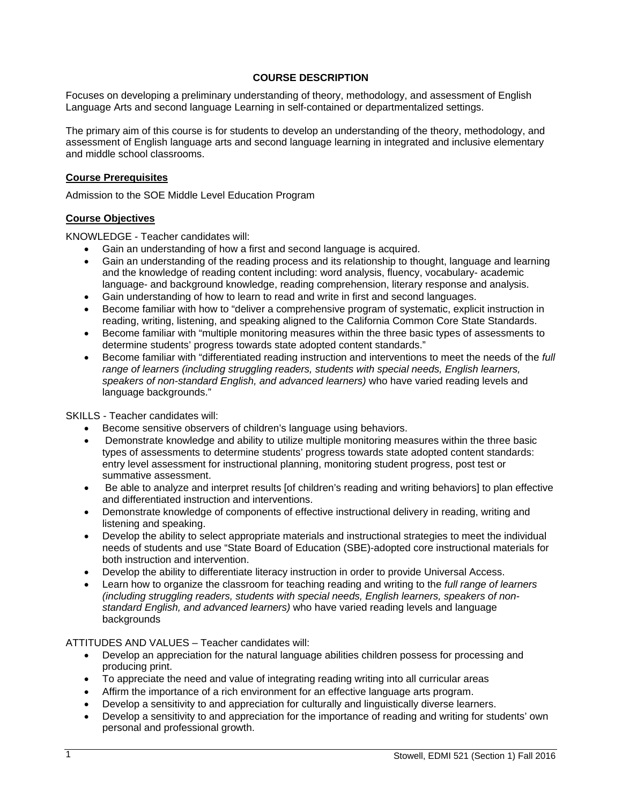### **COURSE DESCRIPTION**

Focuses on developing a preliminary understanding of theory, methodology, and assessment of English Language Arts and second language Learning in self-contained or departmentalized settings.

The primary aim of this course is for students to develop an understanding of the theory, methodology, and assessment of English language arts and second language learning in integrated and inclusive elementary and middle school classrooms.

#### **Course Prerequisites**

Admission to the SOE Middle Level Education Program

#### **Course Objectives**

KNOWLEDGE - Teacher candidates will:

- Gain an understanding of how a first and second language is acquired.
- Gain an understanding of the reading process and its relationship to thought, language and learning and the knowledge of reading content including: word analysis, fluency, vocabulary- academic language- and background knowledge, reading comprehension, literary response and analysis.
- Gain understanding of how to learn to read and write in first and second languages.
- Become familiar with how to "deliver a comprehensive program of systematic, explicit instruction in reading, writing, listening, and speaking aligned to the California Common Core State Standards.
- Become familiar with "multiple monitoring measures within the three basic types of assessments to determine students' progress towards state adopted content standards."
- Become familiar with "differentiated reading instruction and interventions to meet the needs of the *full range of learners (including struggling readers, students with special needs, English learners, speakers of non-standard English, and advanced learners)* who have varied reading levels and language backgrounds."

SKILLS - Teacher candidates will:

- Become sensitive observers of children's language using behaviors.
- Demonstrate knowledge and ability to utilize multiple monitoring measures within the three basic types of assessments to determine students' progress towards state adopted content standards: entry level assessment for instructional planning, monitoring student progress, post test or summative assessment.
- Be able to analyze and interpret results [of children's reading and writing behaviors] to plan effective and differentiated instruction and interventions.
- Demonstrate knowledge of components of effective instructional delivery in reading, writing and listening and speaking.
- Develop the ability to select appropriate materials and instructional strategies to meet the individual needs of students and use "State Board of Education (SBE)-adopted core instructional materials for both instruction and intervention.
- Develop the ability to differentiate literacy instruction in order to provide Universal Access.
- Learn how to organize the classroom for teaching reading and writing to the *full range of learners (including struggling readers, students with special needs, English learners, speakers of nonstandard English, and advanced learners)* who have varied reading levels and language backgrounds

### ATTITUDES AND VALUES – Teacher candidates will:

- Develop an appreciation for the natural language abilities children possess for processing and producing print.
- To appreciate the need and value of integrating reading writing into all curricular areas
- Affirm the importance of a rich environment for an effective language arts program.
- Develop a sensitivity to and appreciation for culturally and linguistically diverse learners.
- Develop a sensitivity to and appreciation for the importance of reading and writing for students' own personal and professional growth.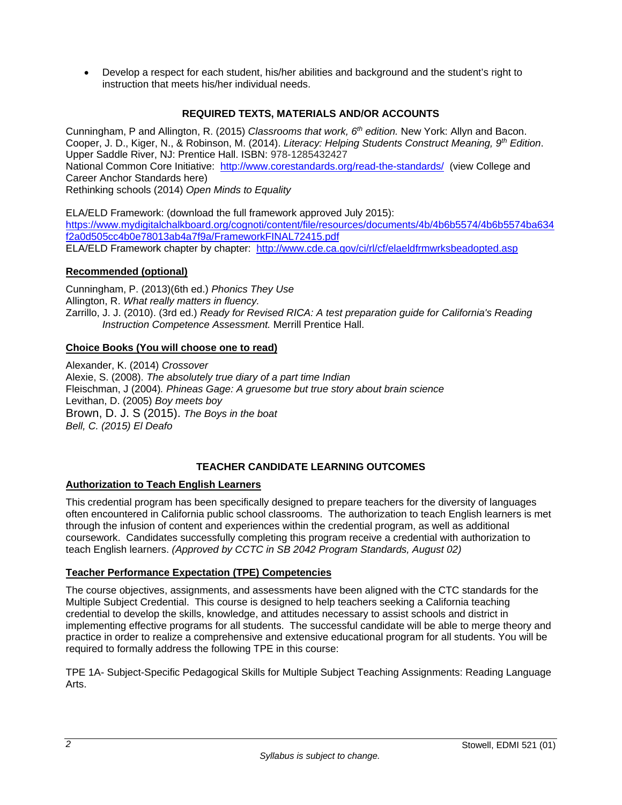Develop a respect for each student, his/her abilities and background and the student's right to instruction that meets his/her individual needs.

## **REQUIRED TEXTS, MATERIALS AND/OR ACCOUNTS**

Cunningham, P and Allington, R. (2015) *Classrooms that work, 6th edition.* New York: Allyn and Bacon. Cooper, J. D., Kiger, N., & Robinson, M. (2014). *Literacy: Helping Students Construct Meaning, 9th Edition*. Upper Saddle River, NJ: Prentice Hall. ISBN: 978-1285432427 National Common Core Initiative: http://www.corestandards.org/read-the-standards/ (view College and Career Anchor Standards here) Rethinking schools (2014) *Open Minds to Equality* 

ELA/ELD Framework: (download the full framework approved July 2015): https://www.mydigitalchalkboard.org/cognoti/content/file/resources/documents/4b/4b6b5574/4b6b5574ba634 f2a0d505cc4b0e78013ab4a7f9a/FrameworkFINAL72415.pdf ELA/ELD Framework chapter by chapter: http://www.cde.ca.gov/ci/rl/cf/elaeldfrmwrksbeadopted.asp

## **Recommended (optional)**

Cunningham, P. (2013)(6th ed.) *Phonics They Use* Allington, R. *What really matters in fluency.*  Zarrillo, J. J. (2010). (3rd ed.) *Ready for Revised RICA: A test preparation guide for California's Reading Instruction Competence Assessment.* Merrill Prentice Hall.

### **Choice Books (You will choose one to read)**

Alexander, K. (2014) *Crossover* Alexie, S. (2008). *The absolutely true diary of a part time Indian* Fleischman, J (2004)*. Phineas Gage: A gruesome but true story about brain science* Levithan, D. (2005) *Boy meets boy* Brown, D. J. S (2015). *The Boys in the boat Bell, C. (2015) El Deafo* 

## **TEACHER CANDIDATE LEARNING OUTCOMES**

### **Authorization to Teach English Learners**

This credential program has been specifically designed to prepare teachers for the diversity of languages often encountered in California public school classrooms. The authorization to teach English learners is met through the infusion of content and experiences within the credential program, as well as additional coursework. Candidates successfully completing this program receive a credential with authorization to teach English learners. *(Approved by CCTC in SB 2042 Program Standards, August 02)*

## **Teacher Performance Expectation (TPE) Competencies**

The course objectives, assignments, and assessments have been aligned with the CTC standards for the Multiple Subject Credential. This course is designed to help teachers seeking a California teaching credential to develop the skills, knowledge, and attitudes necessary to assist schools and district in implementing effective programs for all students. The successful candidate will be able to merge theory and practice in order to realize a comprehensive and extensive educational program for all students. You will be required to formally address the following TPE in this course:

TPE 1A- Subject-Specific Pedagogical Skills for Multiple Subject Teaching Assignments: Reading Language Arts.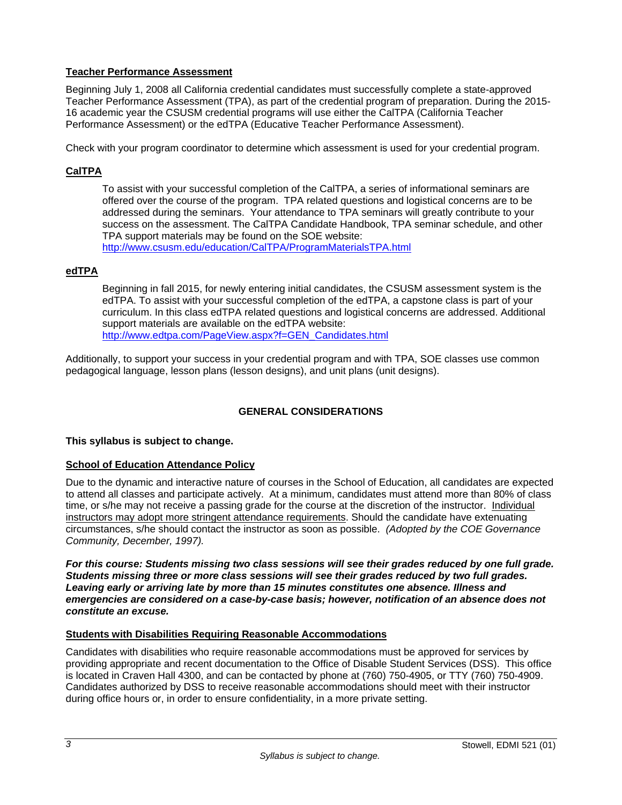### **Teacher Performance Assessment**

Beginning July 1, 2008 all California credential candidates must successfully complete a state-approved Teacher Performance Assessment (TPA), as part of the credential program of preparation. During the 2015- 16 academic year the CSUSM credential programs will use either the CalTPA (California Teacher Performance Assessment) or the edTPA (Educative Teacher Performance Assessment).

Check with your program coordinator to determine which assessment is used for your credential program.

### **CalTPA**

To assist with your successful completion of the CalTPA, a series of informational seminars are offered over the course of the program. TPA related questions and logistical concerns are to be addressed during the seminars. Your attendance to TPA seminars will greatly contribute to your success on the assessment. The CalTPA Candidate Handbook, TPA seminar schedule, and other TPA support materials may be found on the SOE website: http://www.csusm.edu/education/CalTPA/ProgramMaterialsTPA.html

### **edTPA**

Beginning in fall 2015, for newly entering initial candidates, the CSUSM assessment system is the edTPA. To assist with your successful completion of the edTPA, a capstone class is part of your curriculum. In this class edTPA related questions and logistical concerns are addressed. Additional support materials are available on the edTPA website: http://www.edtpa.com/PageView.aspx?f=GEN\_Candidates.html

Additionally, to support your success in your credential program and with TPA, SOE classes use common pedagogical language, lesson plans (lesson designs), and unit plans (unit designs).

### **GENERAL CONSIDERATIONS**

### **This syllabus is subject to change.**

### **School of Education Attendance Policy**

Due to the dynamic and interactive nature of courses in the School of Education, all candidates are expected to attend all classes and participate actively. At a minimum, candidates must attend more than 80% of class time, or s/he may not receive a passing grade for the course at the discretion of the instructor. Individual instructors may adopt more stringent attendance requirements. Should the candidate have extenuating circumstances, s/he should contact the instructor as soon as possible. *(Adopted by the COE Governance Community, December, 1997).*

*For this course: Students missing two class sessions will see their grades reduced by one full grade. Students missing three or more class sessions will see their grades reduced by two full grades. Leaving early or arriving late by more than 15 minutes constitutes one absence. Illness and emergencies are considered on a case-by-case basis; however, notification of an absence does not constitute an excuse.* 

#### **Students with Disabilities Requiring Reasonable Accommodations**

Candidates with disabilities who require reasonable accommodations must be approved for services by providing appropriate and recent documentation to the Office of Disable Student Services (DSS). This office is located in Craven Hall 4300, and can be contacted by phone at (760) 750-4905, or TTY (760) 750-4909. Candidates authorized by DSS to receive reasonable accommodations should meet with their instructor during office hours or, in order to ensure confidentiality, in a more private setting.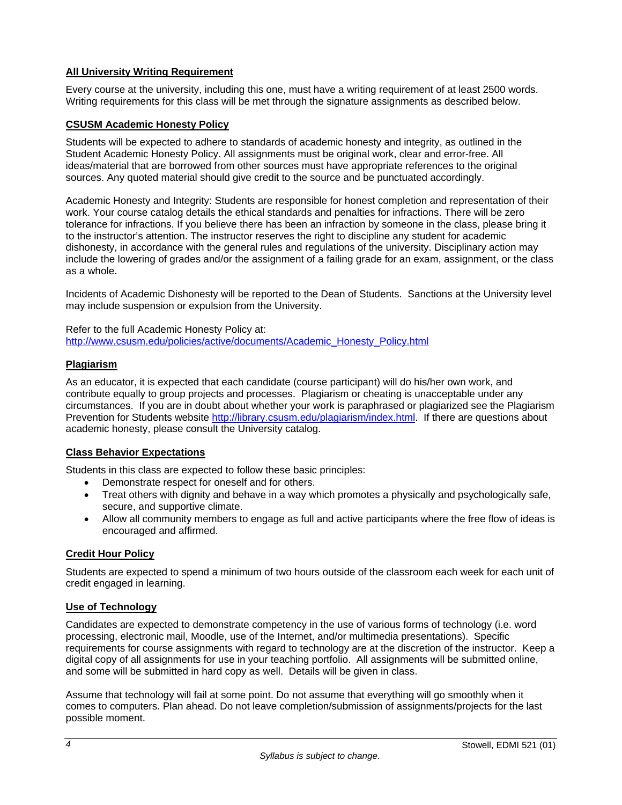### **All University Writing Requirement**

Every course at the university, including this one, must have a writing requirement of at least 2500 words. Writing requirements for this class will be met through the signature assignments as described below.

### **CSUSM Academic Honesty Policy**

Students will be expected to adhere to standards of academic honesty and integrity, as outlined in the Student Academic Honesty Policy. All assignments must be original work, clear and error-free. All ideas/material that are borrowed from other sources must have appropriate references to the original sources. Any quoted material should give credit to the source and be punctuated accordingly.

Academic Honesty and Integrity: Students are responsible for honest completion and representation of their work. Your course catalog details the ethical standards and penalties for infractions. There will be zero tolerance for infractions. If you believe there has been an infraction by someone in the class, please bring it to the instructor's attention. The instructor reserves the right to discipline any student for academic dishonesty, in accordance with the general rules and regulations of the university. Disciplinary action may include the lowering of grades and/or the assignment of a failing grade for an exam, assignment, or the class as a whole.

Incidents of Academic Dishonesty will be reported to the Dean of Students. Sanctions at the University level may include suspension or expulsion from the University.

Refer to the full Academic Honesty Policy at: http://www.csusm.edu/policies/active/documents/Academic\_Honesty\_Policy.html

### **Plagiarism**

As an educator, it is expected that each candidate (course participant) will do his/her own work, and contribute equally to group projects and processes. Plagiarism or cheating is unacceptable under any circumstances. If you are in doubt about whether your work is paraphrased or plagiarized see the Plagiarism Prevention for Students website http://library.csusm.edu/plagiarism/index.html. If there are questions about academic honesty, please consult the University catalog.

### **Class Behavior Expectations**

Students in this class are expected to follow these basic principles:

- Demonstrate respect for oneself and for others.
- Treat others with dignity and behave in a way which promotes a physically and psychologically safe, secure, and supportive climate.
- Allow all community members to engage as full and active participants where the free flow of ideas is encouraged and affirmed.

### **Credit Hour Policy**

Students are expected to spend a minimum of two hours outside of the classroom each week for each unit of credit engaged in learning.

### **Use of Technology**

Candidates are expected to demonstrate competency in the use of various forms of technology (i.e. word processing, electronic mail, Moodle, use of the Internet, and/or multimedia presentations). Specific requirements for course assignments with regard to technology are at the discretion of the instructor. Keep a digital copy of all assignments for use in your teaching portfolio. All assignments will be submitted online, and some will be submitted in hard copy as well. Details will be given in class.

Assume that technology will fail at some point. Do not assume that everything will go smoothly when it comes to computers. Plan ahead. Do not leave completion/submission of assignments/projects for the last possible moment.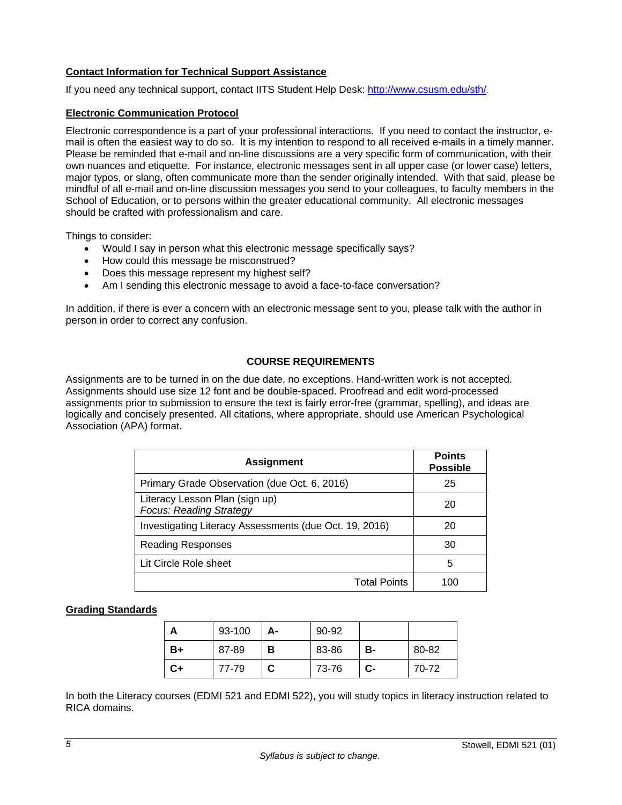### **Contact Information for Technical Support Assistance**

If you need any technical support, contact IITS Student Help Desk: http://www.csusm.edu/sth/.

#### **Electronic Communication Protocol**

Electronic correspondence is a part of your professional interactions. If you need to contact the instructor, email is often the easiest way to do so. It is my intention to respond to all received e-mails in a timely manner. Please be reminded that e-mail and on-line discussions are a very specific form of communication, with their own nuances and etiquette. For instance, electronic messages sent in all upper case (or lower case) letters, major typos, or slang, often communicate more than the sender originally intended. With that said, please be mindful of all e-mail and on-line discussion messages you send to your colleagues, to faculty members in the School of Education, or to persons within the greater educational community. All electronic messages should be crafted with professionalism and care.

Things to consider:

- Would I say in person what this electronic message specifically says?
- How could this message be misconstrued?
- Does this message represent my highest self?
- Am I sending this electronic message to avoid a face-to-face conversation?

In addition, if there is ever a concern with an electronic message sent to you, please talk with the author in person in order to correct any confusion.

### **COURSE REQUIREMENTS**

Assignments are to be turned in on the due date, no exceptions. Hand-written work is not accepted. Assignments should use size 12 font and be double-spaced. Proofread and edit word-processed assignments prior to submission to ensure the text is fairly error-free (grammar, spelling), and ideas are logically and concisely presented. All citations, where appropriate, should use American Psychological Association (APA) format.

| <b>Assignment</b>                                                | <b>Points</b><br><b>Possible</b> |
|------------------------------------------------------------------|----------------------------------|
| Primary Grade Observation (due Oct. 6, 2016)                     | 25                               |
| Literacy Lesson Plan (sign up)<br><b>Focus: Reading Strategy</b> | 20                               |
| Investigating Literacy Assessments (due Oct. 19, 2016)           | 20                               |
| <b>Reading Responses</b>                                         | 30                               |
| Lit Circle Role sheet                                            | 5                                |
| <b>Total Points</b>                                              |                                  |

### **Grading Standards**

|    | 93-100 | А- | 90-92 |    |       |
|----|--------|----|-------|----|-------|
| B+ | 87-89  | в  | 83-86 | в- | 80-82 |
| C+ | 77-79  |    | 73-76 | C- | 70-72 |

In both the Literacy courses (EDMI 521 and EDMI 522), you will study topics in literacy instruction related to RICA domains.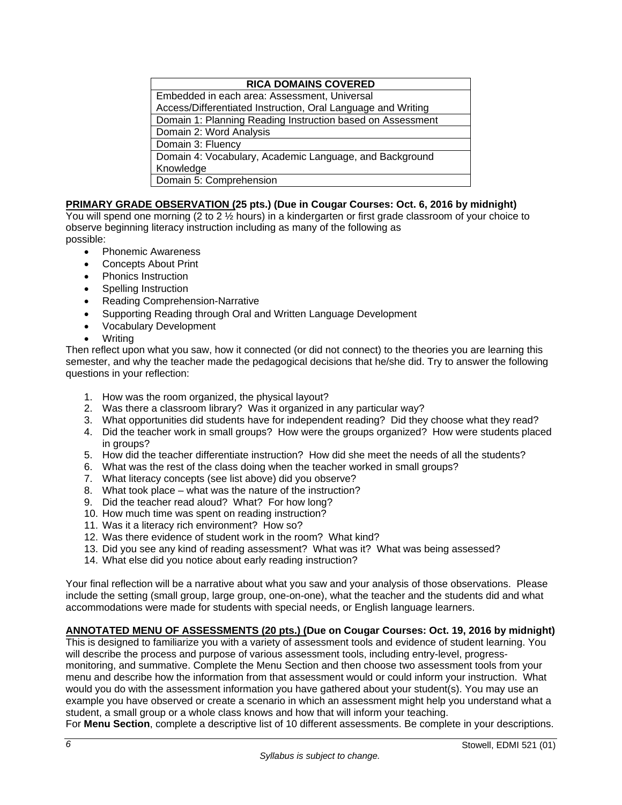| <b>RICA DOMAINS COVERED</b>                                  |  |  |
|--------------------------------------------------------------|--|--|
| Embedded in each area: Assessment, Universal                 |  |  |
| Access/Differentiated Instruction, Oral Language and Writing |  |  |
| Domain 1: Planning Reading Instruction based on Assessment   |  |  |
| Domain 2: Word Analysis                                      |  |  |
| Domain 3: Fluency                                            |  |  |
| Domain 4: Vocabulary, Academic Language, and Background      |  |  |
| Knowledge                                                    |  |  |
| Domain 5: Comprehension                                      |  |  |

## **PRIMARY GRADE OBSERVATION (25 pts.) (Due in Cougar Courses: Oct. 6, 2016 by midnight)**

You will spend one morning (2 to 2  $\frac{1}{2}$  hours) in a kindergarten or first grade classroom of your choice to observe beginning literacy instruction including as many of the following as

possible:

- Phonemic Awareness
- Concepts About Print
- Phonics Instruction
- Spelling Instruction
- Reading Comprehension-Narrative
- Supporting Reading through Oral and Written Language Development
- Vocabulary Development
- Writing

Then reflect upon what you saw, how it connected (or did not connect) to the theories you are learning this semester, and why the teacher made the pedagogical decisions that he/she did. Try to answer the following questions in your reflection:

- 1. How was the room organized, the physical layout?
- 2. Was there a classroom library? Was it organized in any particular way?
- 3. What opportunities did students have for independent reading? Did they choose what they read?
- 4. Did the teacher work in small groups? How were the groups organized? How were students placed in groups?
- 5. How did the teacher differentiate instruction? How did she meet the needs of all the students?
- 6. What was the rest of the class doing when the teacher worked in small groups?
- 7. What literacy concepts (see list above) did you observe?
- 8. What took place what was the nature of the instruction?
- 9. Did the teacher read aloud? What? For how long?
- 10. How much time was spent on reading instruction?
- 11. Was it a literacy rich environment? How so?
- 12. Was there evidence of student work in the room? What kind?
- 13. Did you see any kind of reading assessment? What was it? What was being assessed?
- 14. What else did you notice about early reading instruction?

Your final reflection will be a narrative about what you saw and your analysis of those observations. Please include the setting (small group, large group, one-on-one), what the teacher and the students did and what accommodations were made for students with special needs, or English language learners.

### **ANNOTATED MENU OF ASSESSMENTS (20 pts.) (Due on Cougar Courses: Oct. 19, 2016 by midnight)**

This is designed to familiarize you with a variety of assessment tools and evidence of student learning. You will describe the process and purpose of various assessment tools, including entry-level, progressmonitoring, and summative. Complete the Menu Section and then choose two assessment tools from your menu and describe how the information from that assessment would or could inform your instruction. What would you do with the assessment information you have gathered about your student(s). You may use an example you have observed or create a scenario in which an assessment might help you understand what a student, a small group or a whole class knows and how that will inform your teaching.

For **Menu Section**, complete a descriptive list of 10 different assessments. Be complete in your descriptions.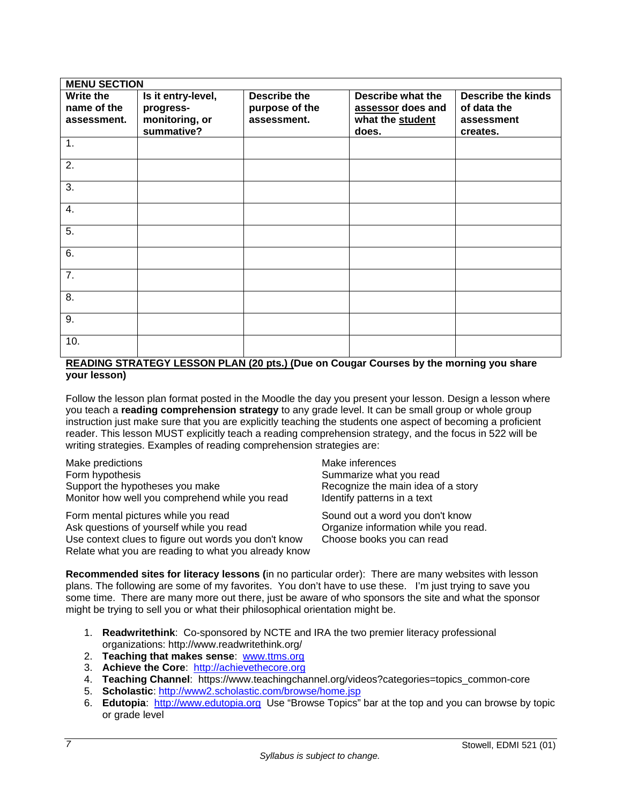| <b>MENU SECTION</b>             |                                 |                                       |                                        |                                          |
|---------------------------------|---------------------------------|---------------------------------------|----------------------------------------|------------------------------------------|
| <b>Write the</b><br>name of the | Is it entry-level,<br>progress- | <b>Describe the</b><br>purpose of the | Describe what the<br>assessor does and | <b>Describe the kinds</b><br>of data the |
| assessment.                     | monitoring, or<br>summative?    | assessment.                           | what the student<br>does.              | assessment<br>creates.                   |
| 1.                              |                                 |                                       |                                        |                                          |
| 2.                              |                                 |                                       |                                        |                                          |
| 3.                              |                                 |                                       |                                        |                                          |
| 4.                              |                                 |                                       |                                        |                                          |
| 5.                              |                                 |                                       |                                        |                                          |
| 6.                              |                                 |                                       |                                        |                                          |
| $\overline{7}$ .                |                                 |                                       |                                        |                                          |
| 8.                              |                                 |                                       |                                        |                                          |
| 9.                              |                                 |                                       |                                        |                                          |
| 10.                             |                                 |                                       |                                        |                                          |

### **READING STRATEGY LESSON PLAN (20 pts.) (Due on Cougar Courses by the morning you share your lesson)**

Follow the lesson plan format posted in the Moodle the day you present your lesson. Design a lesson where you teach a **reading comprehension strategy** to any grade level. It can be small group or whole group instruction just make sure that you are explicitly teaching the students one aspect of becoming a proficient reader. This lesson MUST explicitly teach a reading comprehension strategy, and the focus in 522 will be writing strategies. Examples of reading comprehension strategies are:

Make predictions and the matter of the Make inferences Form hypothesis Summarize what you read Support the hypotheses you make Recognize the main idea of a story Monitor how well you comprehend while you read ldentify patterns in a text

Form mental pictures while you read Sound out a word you don't know<br>Ask questions of yourself while you read Sound Organize information while you read. Ask questions of yourself while you read. Use context clues to figure out words you don't know Choose books you can read Relate what you are reading to what you already know

**Recommended sites for literacy lessons (**in no particular order): There are many websites with lesson plans. The following are some of my favorites. You don't have to use these. I'm just trying to save you some time. There are many more out there, just be aware of who sponsors the site and what the sponsor might be trying to sell you or what their philosophical orientation might be.

- 1. **Readwritethink**: Co-sponsored by NCTE and IRA the two premier literacy professional organizations: http://www.readwritethink.org/
- 2. **Teaching that makes sense**: www.ttms.org
- 3. **Achieve the Core**: http://achievethecore.org
- 4. **Teaching Channel**: https://www.teachingchannel.org/videos?categories=topics\_common-core
- 5. **Scholastic**: http://www2.scholastic.com/browse/home.jsp
- 6. **Edutopia**: http://www.edutopia.org Use "Browse Topics" bar at the top and you can browse by topic or grade level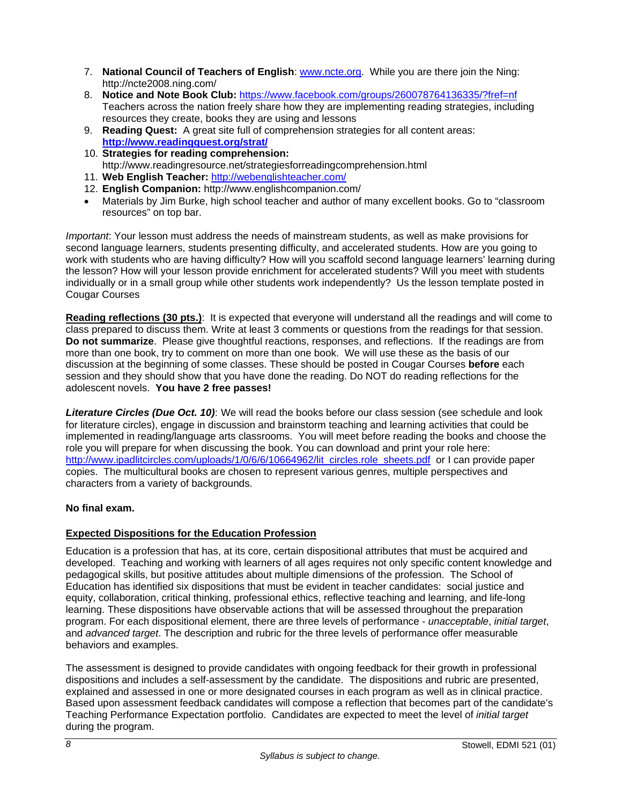- 7. **National Council of Teachers of English**: www.ncte.org. While you are there join the Ning: http://ncte2008.ning.com/
- 8. **Notice and Note Book Club:** https://www.facebook.com/groups/260078764136335/?fref=nf Teachers across the nation freely share how they are implementing reading strategies, including resources they create, books they are using and lessons
- 9. **Reading Quest:** A great site full of comprehension strategies for all content areas: **http://www.readingquest.org/strat/**
- 10. **Strategies for reading comprehension:** http://www.readingresource.net/strategiesforreadingcomprehension.html
- 11. **Web English Teacher:** http://webenglishteacher.com/
- 12. **English Companion:** http://www.englishcompanion.com/
- Materials by Jim Burke, high school teacher and author of many excellent books. Go to "classroom resources" on top bar.

*Important*: Your lesson must address the needs of mainstream students, as well as make provisions for second language learners, students presenting difficulty, and accelerated students. How are you going to work with students who are having difficulty? How will you scaffold second language learners' learning during the lesson? How will your lesson provide enrichment for accelerated students? Will you meet with students individually or in a small group while other students work independently? Us the lesson template posted in Cougar Courses

**Reading reflections (30 pts.)**: It is expected that everyone will understand all the readings and will come to class prepared to discuss them. Write at least 3 comments or questions from the readings for that session. **Do not summarize**. Please give thoughtful reactions, responses, and reflections. If the readings are from more than one book, try to comment on more than one book. We will use these as the basis of our discussion at the beginning of some classes. These should be posted in Cougar Courses **before** each session and they should show that you have done the reading. Do NOT do reading reflections for the adolescent novels. **You have 2 free passes!**

*Literature Circles (Due Oct. 10)*: We will read the books before our class session (see schedule and look for literature circles), engage in discussion and brainstorm teaching and learning activities that could be implemented in reading/language arts classrooms. You will meet before reading the books and choose the role you will prepare for when discussing the book. You can download and print your role here: http://www.ipadlitcircles.com/uploads/1/0/6/6/10664962/lit\_circles.role\_sheets.pdf\_or I can provide paper copies. The multicultural books are chosen to represent various genres, multiple perspectives and characters from a variety of backgrounds.

## **No final exam.**

## **Expected Dispositions for the Education Profession**

Education is a profession that has, at its core, certain dispositional attributes that must be acquired and developed. Teaching and working with learners of all ages requires not only specific content knowledge and pedagogical skills, but positive attitudes about multiple dimensions of the profession. The School of Education has identified six dispositions that must be evident in teacher candidates: social justice and equity, collaboration, critical thinking, professional ethics, reflective teaching and learning, and life-long learning. These dispositions have observable actions that will be assessed throughout the preparation program. For each dispositional element, there are three levels of performance - *unacceptable*, *initial target*, and *advanced target*. The description and rubric for the three levels of performance offer measurable behaviors and examples.

The assessment is designed to provide candidates with ongoing feedback for their growth in professional dispositions and includes a self-assessment by the candidate. The dispositions and rubric are presented, explained and assessed in one or more designated courses in each program as well as in clinical practice. Based upon assessment feedback candidates will compose a reflection that becomes part of the candidate's Teaching Performance Expectation portfolio. Candidates are expected to meet the level of *initial target* during the program.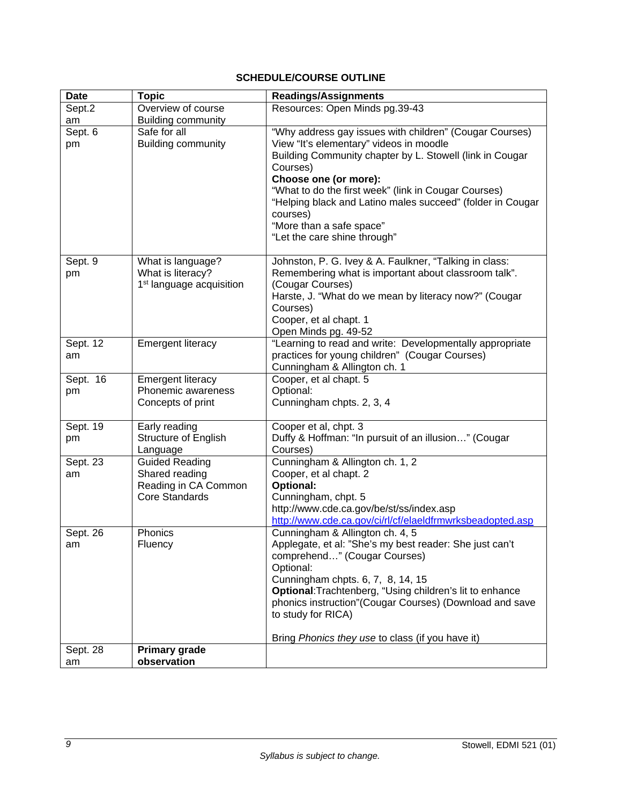# **SCHEDULE/COURSE OUTLINE**

| <b>Date</b>    | <b>Topic</b>                                                                      | <b>Readings/Assignments</b>                                                                                                                                                                                                                                                                                                                                                                       |
|----------------|-----------------------------------------------------------------------------------|---------------------------------------------------------------------------------------------------------------------------------------------------------------------------------------------------------------------------------------------------------------------------------------------------------------------------------------------------------------------------------------------------|
| Sept.2         | Overview of course                                                                | Resources: Open Minds pg.39-43                                                                                                                                                                                                                                                                                                                                                                    |
| am             | <b>Building community</b>                                                         |                                                                                                                                                                                                                                                                                                                                                                                                   |
| Sept. 6<br>pm  | Safe for all<br><b>Building community</b>                                         | "Why address gay issues with children" (Cougar Courses)<br>View "It's elementary" videos in moodle<br>Building Community chapter by L. Stowell (link in Cougar<br>Courses)<br>Choose one (or more):<br>"What to do the first week" (link in Cougar Courses)<br>"Helping black and Latino males succeed" (folder in Cougar<br>courses)<br>"More than a safe space"<br>"Let the care shine through" |
| Sept. 9<br>pm  | What is language?<br>What is literacy?<br>1 <sup>st</sup> language acquisition    | Johnston, P. G. Ivey & A. Faulkner, "Talking in class:<br>Remembering what is important about classroom talk".<br>(Cougar Courses)<br>Harste, J. "What do we mean by literacy now?" (Cougar<br>Courses)<br>Cooper, et al chapt. 1<br>Open Minds pg. 49-52                                                                                                                                         |
| Sept. 12<br>am | <b>Emergent literacy</b>                                                          | "Learning to read and write: Developmentally appropriate<br>practices for young children" (Cougar Courses)<br>Cunningham & Allington ch. 1                                                                                                                                                                                                                                                        |
| Sept. 16<br>pm | <b>Emergent literacy</b><br>Phonemic awareness<br>Concepts of print               | Cooper, et al chapt. 5<br>Optional:<br>Cunningham chpts. 2, 3, 4                                                                                                                                                                                                                                                                                                                                  |
| Sept. 19<br>pm | Early reading<br><b>Structure of English</b><br>Language                          | Cooper et al, chpt. 3<br>Duffy & Hoffman: "In pursuit of an illusion" (Cougar<br>Courses)                                                                                                                                                                                                                                                                                                         |
| Sept. 23<br>am | <b>Guided Reading</b><br>Shared reading<br>Reading in CA Common<br>Core Standards | Cunningham & Allington ch. 1, 2<br>Cooper, et al chapt. 2<br>Optional:<br>Cunningham, chpt. 5<br>http://www.cde.ca.gov/be/st/ss/index.asp<br>http://www.cde.ca.gov/ci/rl/cf/elaeldfrmwrksbeadopted.asp                                                                                                                                                                                            |
| Sept. 26<br>am | Phonics<br>Fluency                                                                | Cunningham & Allington ch. 4, 5<br>Applegate, et al: "She's my best reader: She just can't<br>comprehend" (Cougar Courses)<br>Optional:<br>Cunningham chpts. 6, 7, 8, 14, 15<br>Optional: Trachtenberg, "Using children's lit to enhance<br>phonics instruction"(Cougar Courses) (Download and save<br>to study for RICA)<br>Bring Phonics they use to class (if you have it)                     |
| Sept. 28<br>am | <b>Primary grade</b><br>observation                                               |                                                                                                                                                                                                                                                                                                                                                                                                   |